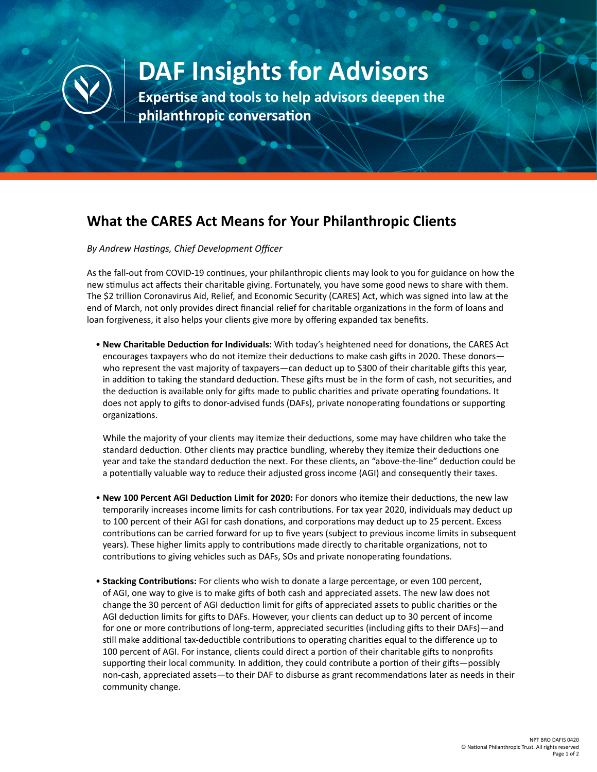

## **DAF Insights for Advisors**

**Expertise and tools to help advisors deepen the philanthropic conversation**

## **What the CARES Act Means for Your Philanthropic Clients**

*By Andrew Hastings, Chief Development Officer*

As the fall-out from COVID-19 continues, your philanthropic clients may look to you for guidance on how the new stimulus act affects their charitable giving. Fortunately, you have some good news to share with them. The \$2 trillion Coronavirus Aid, Relief, and Economic Security (CARES) Act, which was signed into law at the end of March, not only provides direct financial relief for charitable organizations in the form of loans and loan forgiveness, it also helps your clients give more by offering expanded tax benefits.

• **New Charitable Deduction for Individuals:** With today's heightened need for donations, the CARES Act encourages taxpayers who do not itemize their deductions to make cash gifts in 2020. These donors who represent the vast majority of taxpayers—can deduct up to \$300 of their charitable gifts this year, in addition to taking the standard deduction. These gifts must be in the form of cash, not securities, and the deduction is available only for gifts made to public charities and private operating foundations. It does not apply to gifts to donor-advised funds (DAFs), private nonoperating foundations or supporting organizations.

While the majority of your clients may itemize their deductions, some may have children who take the standard deduction. Other clients may practice bundling, whereby they itemize their deductions one year and take the standard deduction the next. For these clients, an "above-the-line" deduction could be a potentially valuable way to reduce their adjusted gross income (AGI) and consequently their taxes.

- **New 100 Percent AGI Deduction Limit for 2020:** For donors who itemize their deductions, the new law temporarily increases income limits for cash contributions. For tax year 2020, individuals may deduct up to 100 percent of their AGI for cash donations, and corporations may deduct up to 25 percent. Excess contributions can be carried forward for up to five years (subject to previous income limits in subsequent years). These higher limits apply to contributions made directly to charitable organizations, not to contributions to giving vehicles such as DAFs, SOs and private nonoperating foundations.
- **Stacking Contributions:** For clients who wish to donate a large percentage, or even 100 percent, of AGI, one way to give is to make gifts of both cash and appreciated assets. The new law does not change the 30 percent of AGI deduction limit for gifts of appreciated assets to public charities or the AGI deduction limits for gifts to DAFs. However, your clients can deduct up to 30 percent of income for one or more contributions of long-term, appreciated securities (including gifts to their DAFs)—and still make additional tax-deductible contributions to operating charities equal to the difference up to 100 percent of AGI. For instance, clients could direct a portion of their charitable gifts to nonprofits supporting their local community. In addition, they could contribute a portion of their gifts—possibly non-cash, appreciated assets—to their DAF to disburse as grant recommendations later as needs in their community change.